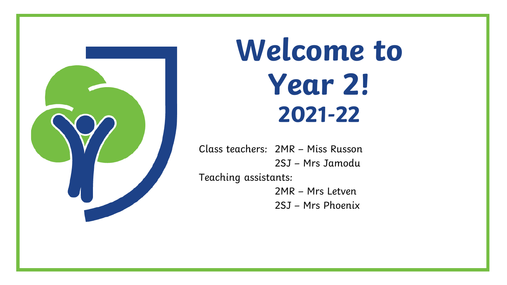

# **Welcome to Year 2! 2021-22**

Class teachers: 2MR – Miss Russon 2SJ – Mrs Jamodu Teaching assistants: 2MR – Mrs Letven 2SJ – Mrs Phoenix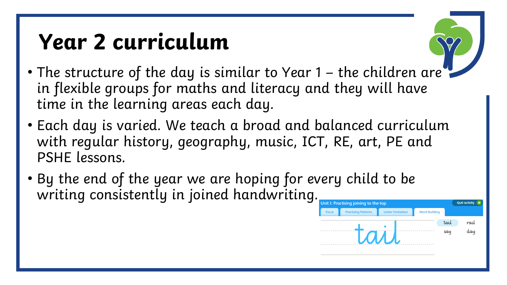### **Year 2 curriculum**

- The structure of the day is similar to Year 1 the children are in flexible groups for maths and literacy and they will have time in the learning areas each day.
- Each day is varied. We teach a broad and balanced curriculum with regular history, geography, music, ICT, RE, art, PE and PSHE lessons.
- By the end of the year we are hoping for every child to be writing consistently in joined handwriting.

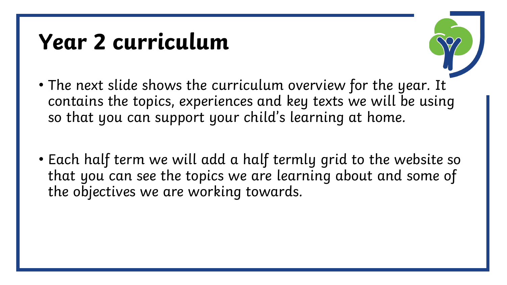### **Year 2 curriculum**



- The next slide shows the curriculum overview for the year. It contains the topics, experiences and key texts we will be using so that you can support your child's learning at home.
- Each half term we will add a half termly grid to the website so that you can see the topics we are learning about and some of the objectives we are working towards.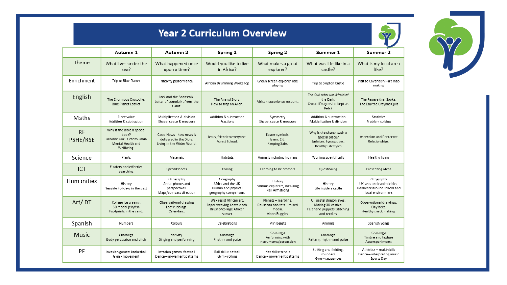

### **Year 2 Curriculum Overview**

| <b>Year 2 Curriculum Overview</b>                                                                    |                                                                                  |                                                                                           |                                                                             |                                                                                               |                                                                                              |  |  |  |
|------------------------------------------------------------------------------------------------------|----------------------------------------------------------------------------------|-------------------------------------------------------------------------------------------|-----------------------------------------------------------------------------|-----------------------------------------------------------------------------------------------|----------------------------------------------------------------------------------------------|--|--|--|
| Autumn 1                                                                                             | Autumn 2                                                                         | Spring 1                                                                                  | Spring 2                                                                    | Summer 1                                                                                      | Summer 2                                                                                     |  |  |  |
| What lives under the<br>sea?                                                                         | What happened once<br>upon a time?                                               | Would you like to live<br>in Africa?                                                      | What makes a great<br>explorer?                                             | What was life like in a<br>castle?                                                            | What is my local area<br>like?                                                               |  |  |  |
| Trip to Blue Planet                                                                                  | Nativity performance                                                             | African Drumming Workshop                                                                 | Green screen explorer role<br>playing                                       | Trip to Skipton Castle                                                                        | Visit to Cavendish Park map<br>making                                                        |  |  |  |
| The Enormous Crocodile.<br><b>Blue Planet Leaflet</b>                                                | Jack and the Beanstalk.<br>Letter of complaint from the<br>Giant.                | The Anansi Story.<br>How to trap an Alien.                                                | African experience recount.                                                 | The Owl who was Afraid of<br>the Dark.<br>Should Dragons be Kept as<br>Pets?                  | The Papaya that Spoke.<br>The Day the Crayons Quit                                           |  |  |  |
| Place value<br>Addition & subtraction                                                                | Multiplication & division<br>Shape, space & measure                              | Addition & subtraction<br>Fractions                                                       | Symmetry<br>Shape, space & measure                                          | Addition & subtraction<br>Multiplication & division                                           | <b>Statistics</b><br>Problem solving                                                         |  |  |  |
| Why is the Bible a special<br>book?<br>Sikhism: Guru Granth Sahib<br>Mental Health and<br>Wellbeing. | Good News - how news is<br>delivered in the Bible.<br>Living in the Wider World. | Jesus, friend to everyone.<br>Forest School.                                              | Easter symbols.<br>Islam: Eid.<br>Keeping Safe.                             | Why is the church such a<br>special place?<br>Judaism: Synagogues.<br>Healthy Lifestyles      | <b>Ascension and Pentecost</b><br>Relationships.                                             |  |  |  |
| Plants                                                                                               | Materials                                                                        | Habitats                                                                                  | Animals including humans                                                    | Working scientifically                                                                        | Healthy living                                                                               |  |  |  |
| E-safety and effective<br>searching                                                                  | Spreadsheets                                                                     | Coding                                                                                    | Learning to be creators                                                     | Questioning                                                                                   | Presenting ideas                                                                             |  |  |  |
| History<br>Seaside holidays in the past                                                              | Geography<br>Aerial photos and<br>perspectives.<br>Maps/compass direction        | Geography<br>Africa and the UK.<br>Human and physical<br>geography comparison.            | History<br>Famous explorers, including<br>Neil Armstrong                    | History<br>Life inside a castle                                                               | Geography<br>UK seas and capital cities.<br>Fieldwork around school and<br>local environment |  |  |  |
| Collage ice creams.<br>3D model jellyfish<br>Footprints in the sand.                                 | Observational drawing<br>Leaf rubbings.<br>Calendars.                            | Wax resist African art.<br>Paper weaving Kente cloth.<br>Brusho/collage African<br>sunset | Planets - marbling.<br>Rousseau habitats - mixed<br>media.<br>Moon Buggies. | Oil pastel dragon eyes.<br>Making 3D castles.<br>Felt hand puppets: stitching<br>and textiles | Observational drawings.<br>Clay bees.<br>Healthy snack making.                               |  |  |  |
| Numbers                                                                                              | Colours                                                                          | Celebrations                                                                              | Minibeasts                                                                  | Animals                                                                                       | Spanish Songs                                                                                |  |  |  |
| Charanga<br>Body percussion and pitch                                                                | Nativity.<br>Singing and performing                                              | Charanga<br>Rhythm and pulse                                                              | Charanga<br>Performing with<br>instruments/percussion                       | Charanga<br>Pattern, rhythm and pulse                                                         | Charanga<br>Timbre and texture<br>Accompaniments                                             |  |  |  |
| Invasion games: basketball<br>Gym - movement                                                         | Invasion games: football<br>Dance - movement patterns                            | Ball skills: netball<br>Gym - rolling                                                     | Net skills: tennis<br>Dance - movement patterns                             | Striking and fielding:<br>rounders<br>Gym - sequences                                         | Athletics - multi-skills<br>Dance - interpreting music<br>Sports Day                         |  |  |  |
|                                                                                                      |                                                                                  |                                                                                           |                                                                             |                                                                                               |                                                                                              |  |  |  |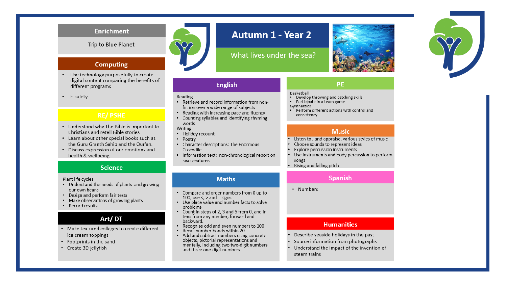#### **Enrichment**

#### Trip to Blue Planet

#### **Computing**

- Use technology purposefully to create digital content comparing the benefits of different programs
- E-safety

- Understand why The Bible is important to Christians and retell Bible stories
- Learn about other special books such as the Guru Granth Sahib and the Qur'an.
- Discuss expression of our emotions and health & wellbeing

#### **Science**

#### Plant life cycles

- Understand the needs of plants and growing our own beans
- Design and perform fair tests
- Make observations of growing plants
- Record results

#### Art/DT

- Make textured collages to create different ice cream toppings
- Footprints in the sand
- Create 3D jellyfish



### **Autumn 1 - Year 2**

#### What lives under the sea?

#### **English**

#### Reading

- Retrieve and record information from nonfiction over a wide range of subjects
- Reading with increasing pace and fluency
- Counting syllables and identifying rhyming words

Writing

- Holiday recount
- Poetry
- Character descriptions: The Enormous Crocodile
- Information text: non-chronological report on sea creatures

#### **Maths**

- Compare and order numbers from 0 up to 100; use  $\lt$ ,  $>$  and = signs.
- Use place value and number facts to solve problems
- Count in steps of 2, 3 and 5 from 0, and in tens from any number, forward and backward.
- Recognise odd and even numbers to 100 • Recall number bonds within 20
- Add and subtract numbers using concrete objects, pictorial representations and mentally, including two two-digit numbers and three one-digit numbers



#### **PE**

#### Basketball

- Develop throwing and catching skills
- · Participate in a team game
- Gymnastics
- . Perform different actions with control and consistency

#### **Music**

- Listen to, and appraise, various styles of music
- Choose sounds to represent ideas
- Explore percussion instruments
- Use instruments and body percussion to perform songs
- Rising and falling pitch

#### **Spanish**

• Numbers

#### **Humanities**

- Describe seaside holidays in the past
- Source information from photographs
- Understand the impact of the invention of steam trains

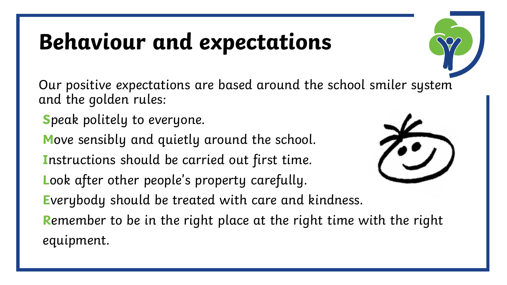### **Behaviour and expectations**

Our positive expectations are based around the school smiler system and the golden rules:

- **S**peak politely to everyone.
- **M**ove sensibly and quietly around the school.
- **I**nstructions should be carried out first time.
- **L**ook after other people's property carefully.



**E**verybody should be treated with care and kindness.

**R**emember to be in the right place at the right time with the right equipment.

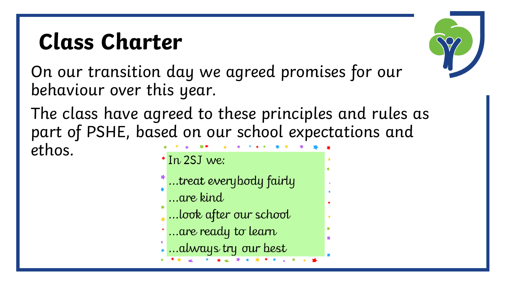### **Class Charter**

On our transition day we agreed promises for our behaviour over this year.

The class have agreed to these principles and rules as part of PSHE, based on our school expectations and ethos.

 $*$  In 2SJ we:

- ...treat every body fairly ...are kind
- $\ddot$  ... look after our school
- ... are ready to learn
- ... always try our best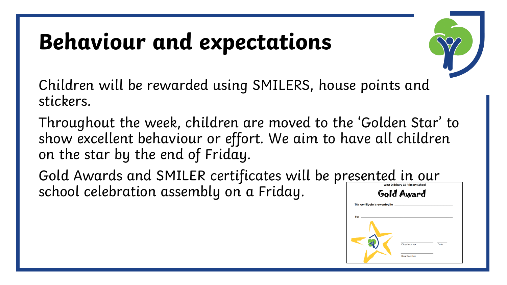### **Behaviour and expectations**



Children will be rewarded using SMILERS, house points and stickers.

Throughout the week, children are moved to the 'Golden Star' to show excellent behaviour or effort. We aim to have all children on the star by the end of Friday.

Gold Awards and SMILER certificates will be presented in our school celebration assembly on a Friday.Gold Award

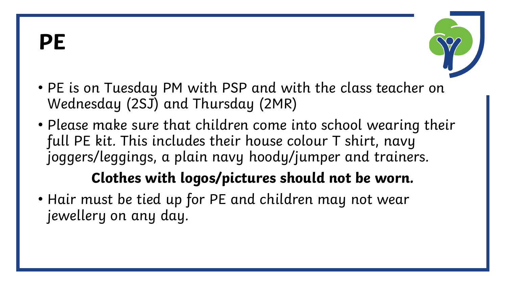

- PE is on Tuesday PM with PSP and with the class teacher on Wednesday (2SJ) and Thursday (2MR)
- Please make sure that children come into school wearing their full PE kit. This includes their house colour T shirt, navy joggers/leggings, a plain navy hoody/jumper and trainers.

### **Clothes with logos/pictures should not be worn.**

• Hair must be tied up for PE and children may not wear jewellery on any day.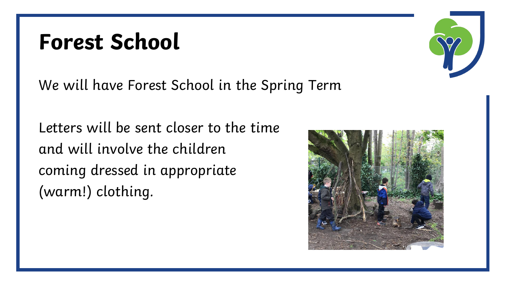### **Forest School**

We will have Forest School in the Spring Term

Letters will be sent closer to the time and will involve the children coming dressed in appropriate (warm!) clothing.



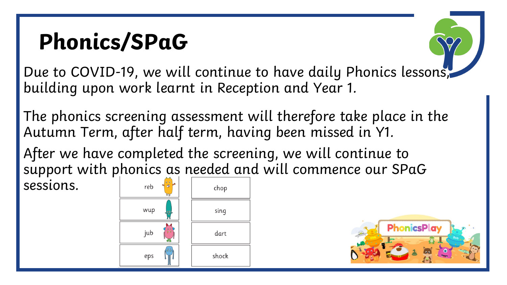### **Phonics/SPaG**



Due to COVID-19, we will continue to have daily Phonics lessons, building upon work learnt in Reception and Year 1.

The phonics screening assessment will therefore take place in the Autumn Term, after half term, having been missed in Y1.

After we have completed the screening, we will continue to support with phonics as needed and will commence our SPaG

sessions.



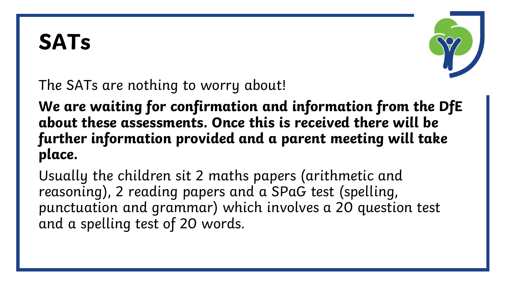### **SATs**



The SATs are nothing to worry about!

**We are waiting for confirmation and information from the DfE about these assessments. Once this is received there will be further information provided and a parent meeting will take place.** 

Usually the children sit 2 maths papers (arithmetic and reasoning), 2 reading papers and a SPaG test (spelling, punctuation and grammar) which involves a 20 question test and a spelling test of 20 words.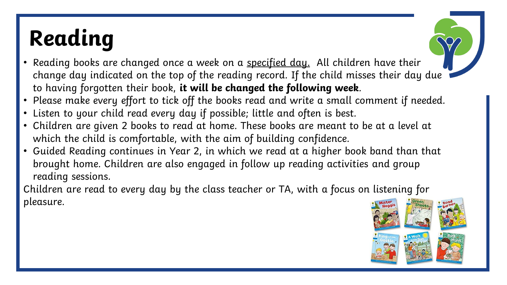# **Reading**



- Reading books are changed once a week on a specified day. All children have their change day indicated on the top of the reading record. If the child misses their day due to having forgotten their book, **it will be changed the following week**.
- Please make every effort to tick off the books read and write a small comment if needed.
- Listen to your child read every day if possible; little and often is best.
- Children are given 2 books to read at home. These books are meant to be at a level at which the child is comfortable, with the aim of building confidence.
- Guided Reading continues in Year 2, in which we read at a higher book band than that brought home. Children are also engaged in follow up reading activities and group reading sessions.

Children are read to every day by the class teacher or TA, with a focus on listening for pleasure.

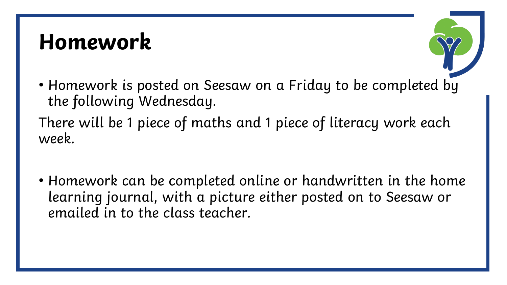### **Homework**

• Homework is posted on Seesaw on a Friday to be completed by the following Wednesday.

There will be 1 piece of maths and 1 piece of literacy work each week.

• Homework can be completed online or handwritten in the home learning journal, with a picture either posted on to Seesaw or emailed in to the class teacher.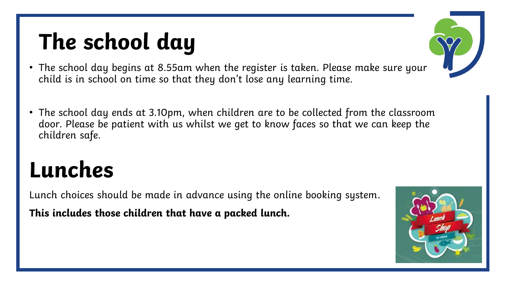# **The school day**

- The school day begins at 8.55am when the register is taken. Please make sure your child is in school on time so that they don't lose any learning time.
- The school day ends at 3.10pm, when children are to be collected from the classroom door. Please be patient with us whilst we get to know faces so that we can keep the children safe.

### **Lunches**

Lunch choices should be made in advance using the online booking system.

**This includes those children that have a packed lunch.**

![](_page_14_Picture_6.jpeg)

![](_page_14_Picture_7.jpeg)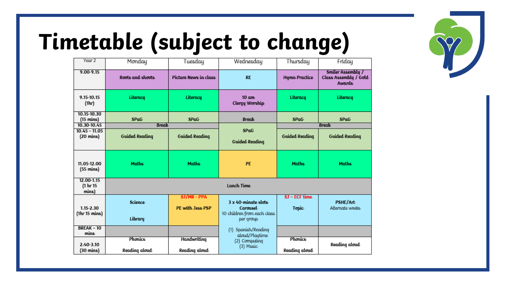![](_page_15_Picture_0.jpeg)

# **Timetable (subject to change)**

| Year 2                             | Monday                | Tuesday                         | Wednesday                                                      | Thursday               | Friday                                                      |  |  |
|------------------------------------|-----------------------|---------------------------------|----------------------------------------------------------------|------------------------|-------------------------------------------------------------|--|--|
| $9.00 - 9.15$                      | Roots and shoots      | Picture News in class           | <b>RE</b>                                                      | Hymn Practice          | Smiler Assembly /<br>Class Assembly / Gold<br><b>Awards</b> |  |  |
| 9.15-10.15<br>(1hr)                | Literacy              | Literacy                        | $10 \text{ am}$<br>Clerqy Worship                              | Literacy               | Literacy                                                    |  |  |
| 10.15-10.30<br>$(15 \text{ mins})$ | <b>SPaG</b>           | <b>SPaG</b>                     | <b>Break</b>                                                   | <b>SPaG</b>            | <b>SPaG</b>                                                 |  |  |
| 10.30-10.45                        | <b>Break</b>          |                                 |                                                                | <b>Break</b>           |                                                             |  |  |
| $10.45 - 11.05$<br>(20 mins)       | <b>Guided Reading</b> | <b>Guided Reading</b>           | <b>SPaG</b><br><b>Guided Reading</b>                           | <b>Guided Reading</b>  | <b>Guided Reading</b>                                       |  |  |
| 11.05-12.00<br>(55 mins)           | <b>Maths</b>          | Maths                           | <b>PE</b>                                                      | <b>Maths</b>           | <b>Maths</b>                                                |  |  |
| 12.00-1.15<br>(1 hr 15<br>mins)    |                       | Lunch Time                      |                                                                |                        |                                                             |  |  |
| $1.15 - 2.30$<br>(1hr 15 mins)     | <b>Science</b>        | SJ/MR - PPA<br>PE with Jess PSP | 3 x 40-minute slots<br>Carousel<br>10 children from each class | SJ - ECF time<br>Topic | PSHE/Art<br>Alternate weeks                                 |  |  |
|                                    | Library               |                                 | per group                                                      |                        |                                                             |  |  |
| <b>BREAK-10</b><br>mins            |                       |                                 | Spanish/Reading<br>(1)<br>aloud/Playtime                       |                        |                                                             |  |  |
| 2.40-3.10                          | <b>Phonics</b>        | <b>Handwriting</b>              | (2) Computing<br>(3) Music                                     | <b>Phonics</b>         | Reading aloud                                               |  |  |
| (30 mins)                          | Reading aloud         | Reading aloud                   |                                                                | Reading aloud          |                                                             |  |  |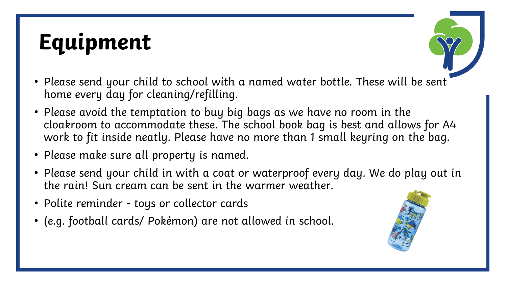## **Equipment**

- Please send your child to school with a named water bottle. These will be sent home every day for cleaning/refilling.
- Please avoid the temptation to buy big bags as we have no room in the cloakroom to accommodate these. The school book bag is best and allows for A4 work to fit inside neatly. Please have no more than 1 small keyring on the bag.
- Please make sure all property is named.
- Please send your child in with a coat or waterproof every day. We do play out in the rain! Sun cream can be sent in the warmer weather.
- Polite reminder toys or collector cards
- (e.g. football cards/ Pokémon) are not allowed in school.

![](_page_16_Picture_7.jpeg)